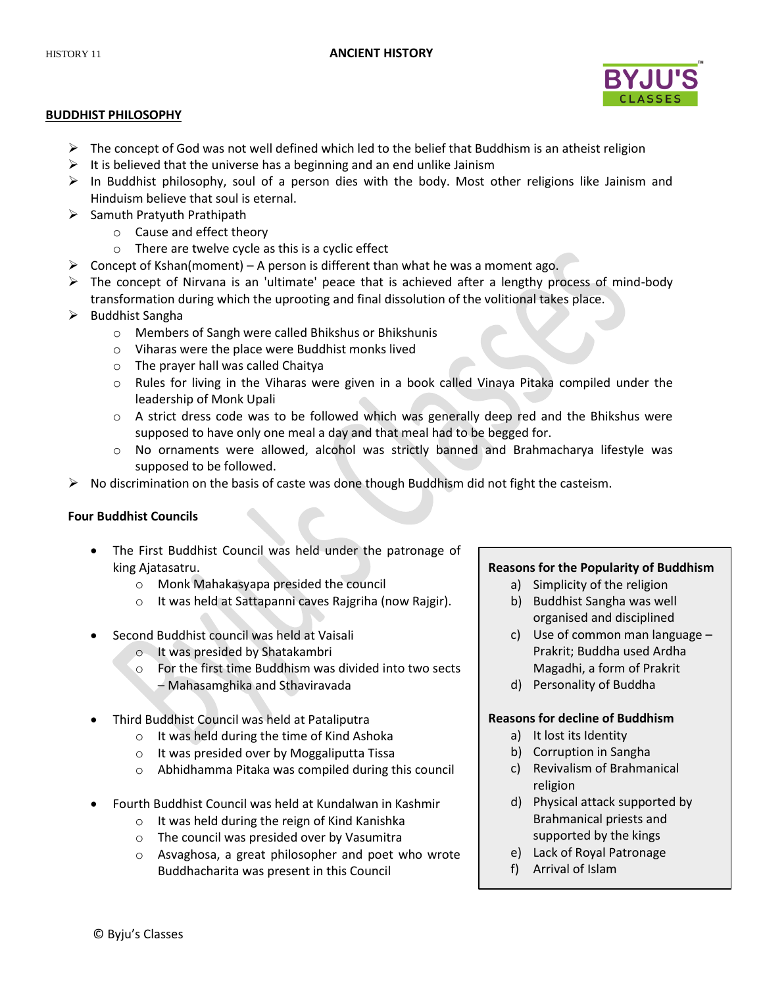

# **BUDDHIST PHILOSOPHY**

- $\triangleright$  The concept of God was not well defined which led to the belief that Buddhism is an atheist religion
- $\triangleright$  It is believed that the universe has a beginning and an end unlike Jainism
- $\triangleright$  In Buddhist philosophy, soul of a person dies with the body. Most other religions like Jainism and Hinduism believe that soul is eternal.
- $\triangleright$  Samuth Pratyuth Prathipath
	- o Cause and effect theory
	- o There are twelve cycle as this is a cyclic effect
- $\triangleright$  Concept of Kshan(moment) A person is different than what he was a moment ago.
- $\triangleright$  The concept of Nirvana is an 'ultimate' peace that is achieved after a lengthy process of mind-body transformation during which the uprooting and final dissolution of the volitional takes place.
- > Buddhist Sangha
	- o Members of Sangh were called Bhikshus or Bhikshunis
	- o Viharas were the place were Buddhist monks lived
	- o The prayer hall was called Chaitya
	- o Rules for living in the Viharas were given in a book called Vinaya Pitaka compiled under the leadership of Monk Upali
	- o A strict dress code was to be followed which was generally deep red and the Bhikshus were supposed to have only one meal a day and that meal had to be begged for.
	- o No ornaments were allowed, alcohol was strictly banned and Brahmacharya lifestyle was supposed to be followed.
- $\triangleright$  No discrimination on the basis of caste was done though Buddhism did not fight the casteism.

# **Four Buddhist Councils**

- The First Buddhist Council was held under the patronage of king Ajatasatru.
	- o Monk Mahakasyapa presided the council
	- o It was held at Sattapanni caves Rajgriha (now Rajgir).
- Second Buddhist council was held at Vaisali
	- o It was presided by Shatakambri
	- o For the first time Buddhism was divided into two sects – Mahasamghika and Sthaviravada
- Third Buddhist Council was held at Pataliputra
	- o It was held during the time of Kind Ashoka
	- o It was presided over by Moggaliputta Tissa
	- o Abhidhamma Pitaka was compiled during this council
- Fourth Buddhist Council was held at Kundalwan in Kashmir
	- o It was held during the reign of Kind Kanishka
	- o The council was presided over by Vasumitra
	- o Asvaghosa, a great philosopher and poet who wrote Buddhacharita was present in this Council

# **Reasons for the Popularity of Buddhism**

- a) Simplicity of the religion
- b) Buddhist Sangha was well organised and disciplined
- c) Use of common man language Prakrit; Buddha used Ardha Magadhi, a form of Prakrit
- d) Personality of Buddha

# **Reasons for decline of Buddhism**

- a) It lost its Identity
- b) Corruption in Sangha
- c) Revivalism of Brahmanical religion
- d) Physical attack supported by Brahmanical priests and supported by the kings
- e) Lack of Royal Patronage
- f) Arrival of Islam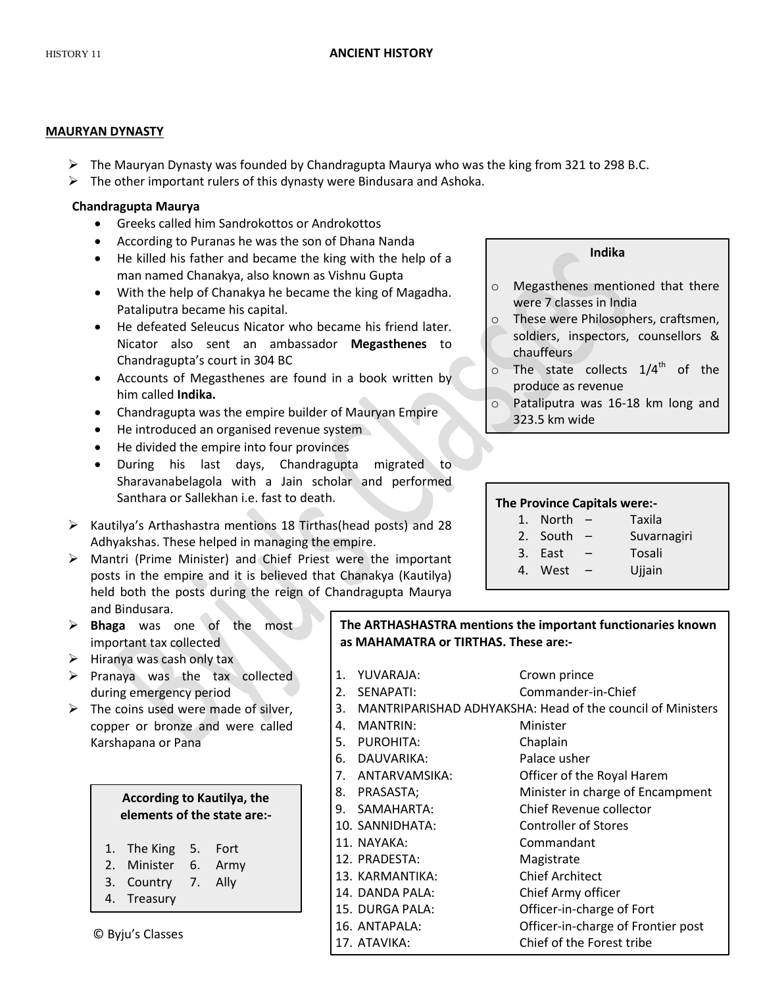# **MAURYAN DYNASTY**

- $\triangleright$  The Mauryan Dynasty was founded by Chandragupta Maurya who was the king from 321 to 298 B.C.
- $\triangleright$  The other important rulers of this dynasty were Bindusara and Ashoka.

# **Chandragupta Maurya**

- Greeks called him Sandrokottos or Androkottos
- According to Puranas he was the son of Dhana Nanda
- He killed his father and became the king with the help of a man named Chanakya, also known as Vishnu Gupta
- With the help of Chanakya he became the king of Magadha. Pataliputra became his capital.
- He defeated Seleucus Nicator who became his friend later. Nicator also sent an ambassador **Megasthenes** to Chandragupta's court in 304 BC
- Accounts of Megasthenes are found in a book written by him called **Indika.**
- Chandragupta was the empire builder of Mauryan Empire
- He introduced an organised revenue system
- He divided the empire into four provinces
- During his last days, Chandragupta migrated to Sharavanabelagola with a Jain scholar and performed Santhara or Sallekhan i.e. fast to death.
- $\triangleright$  Kautilya's Arthashastra mentions 18 Tirthas (head posts) and 28 Adhyakshas. These helped in managing the empire.
- Mantri (Prime Minister) and Chief Priest were the important posts in the empire and it is believed that Chanakya (Kautilya) held both the posts during the reign of Chandragupta Maurya and Bindusara.
- **Bhaga** was one of the most important tax collected
- $\triangleright$  Hiranya was cash only tax
- $\triangleright$  Pranaya was the tax collected during emergency period
- $\triangleright$  The coins used were made of silver, copper or bronze and were called Karshapana or Pana

# **According to Kautilya, the elements of the state are:-**

- 1. The King 5. Fort
- 2. Minister 6. Army
- 3. Country 7. Ally
- 4. Treasury

# **Indika**

- o Megasthenes mentioned that there were 7 classes in India
- o These were Philosophers, craftsmen, soldiers, inspectors, counsellors & chauffeurs
- $\circ$  The state collects 1/4<sup>th</sup> of the produce as revenue
- o Pataliputra was 16-18 km long and 323.5 km wide

# **The Province Capitals were:-**

- 1. North Taxila 2. South – Suvarnagiri 3. East – Tosali
- 4. West Ujjain

**The ARTHASHASTRA mentions the important functionaries known as MAHAMATRA or TIRTHAS. These are:-**

- 1. YUVARAJA: Crown prince 2. SENAPATI: Commander-in-Chief 3. MANTRIPARISHAD ADHYAKSHA: Head of the council of Ministers 4. MANTRIN: Minister 5. PUROHITA: Chaplain 6. DAUVARIKA: Palace usher 7. ANTARVAMSIKA: Officer of the Royal Harem 8. PRASASTA; Minister in charge of Encampment 9. SAMAHARTA: Chief Revenue collector 10. SANNIDHATA: Controller of Stores 11. NAYAKA: Commandant 12. PRADESTA: Magistrate 13. KARMANTIKA: Chief Architect 14. DANDA PALA: Chief Army officer 15. DURGA PALA: Officer-in-charge of Fort
	- 16. ANTAPALA: Officer-in-charge of Frontier post
	- 17. ATAVIKA: Chief of the Forest tribe